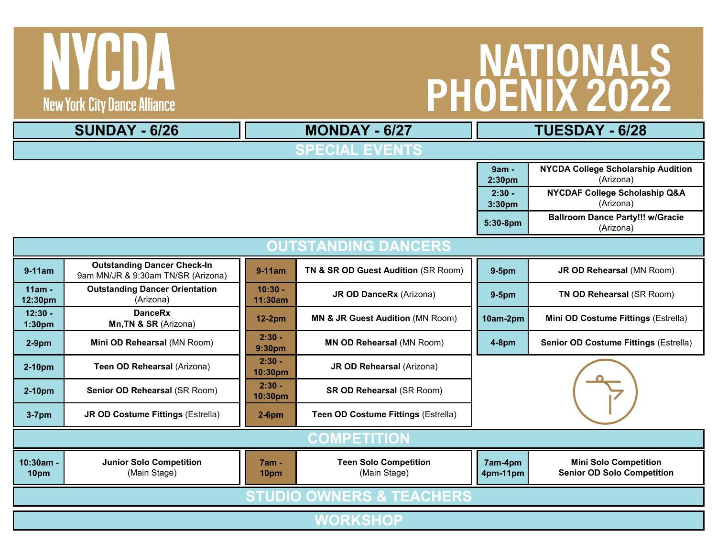## PHOENIX 2022

**New York City Dance Alliance** 

TYCDA

|                                     | <b>SUNDAY - 6/26</b>                                                     |                      | <b>MONDAY - 6/27</b>                                   | TUESDAY - 6/28      |                                                                   |  |  |  |  |  |  |  |
|-------------------------------------|--------------------------------------------------------------------------|----------------------|--------------------------------------------------------|---------------------|-------------------------------------------------------------------|--|--|--|--|--|--|--|
| <b>SPECIAL EVENTS</b>               |                                                                          |                      |                                                        |                     |                                                                   |  |  |  |  |  |  |  |
|                                     |                                                                          | 9am -<br>2:30pm      | <b>NYCDA College Scholarship Audition</b><br>(Arizona) |                     |                                                                   |  |  |  |  |  |  |  |
|                                     |                                                                          | $2:30 -$<br>3:30pm   | NYCDAF College Scholaship Q&A<br>(Arizona)             |                     |                                                                   |  |  |  |  |  |  |  |
|                                     |                                                                          | 5:30-8pm             | <b>Ballroom Dance Party!!! w/Gracie</b><br>(Arizona)   |                     |                                                                   |  |  |  |  |  |  |  |
| <u>OUTSTANDING DANCERS</u>          |                                                                          |                      |                                                        |                     |                                                                   |  |  |  |  |  |  |  |
| $9-11am$                            | <b>Outstanding Dancer Check-In</b><br>9am MN/JR & 9:30am TN/SR (Arizona) | $9-11am$             | TN & SR OD Guest Audition (SR Room)                    | $9-5pm$             | JR OD Rehearsal (MN Room)                                         |  |  |  |  |  |  |  |
| 11am -<br>12:30pm                   | <b>Outstanding Dancer Orientation</b><br>(Arizona)                       | $10:30 -$<br>11:30am | JR OD DanceRx (Arizona)                                | $9-5pm$             | TN OD Rehearsal (SR Room)                                         |  |  |  |  |  |  |  |
| $12:30 -$<br>1:30pm                 | <b>DanceRx</b><br>Mn, TN & SR (Arizona)                                  | <b>12-2pm</b>        | <b>MN &amp; JR Guest Audition (MN Room)</b>            | 10am-2pm            | Mini OD Costume Fittings (Estrella)                               |  |  |  |  |  |  |  |
| $2-9pm$                             | Mini OD Rehearsal (MN Room)                                              | $2:30 -$<br>9:30pm   | <b>MN OD Rehearsal (MN Room)</b>                       | $4-8$ pm            | Senior OD Costume Fittings (Estrella)                             |  |  |  |  |  |  |  |
| 2-10pm                              | Teen OD Rehearsal (Arizona)                                              | $2:30 -$<br>10:30pm  | JR OD Rehearsal (Arizona)                              |                     |                                                                   |  |  |  |  |  |  |  |
| 2-10pm                              | Senior OD Rehearsal (SR Room)                                            | $2:30 -$<br>10:30pm  | <b>SR OD Rehearsal (SR Room)</b>                       |                     |                                                                   |  |  |  |  |  |  |  |
| $3-7$ pm                            | <b>JR OD Costume Fittings (Estrella)</b>                                 | $2-6$ pm             | Teen OD Costume Fittings (Estrella)                    |                     |                                                                   |  |  |  |  |  |  |  |
| <b>COMPETITION</b>                  |                                                                          |                      |                                                        |                     |                                                                   |  |  |  |  |  |  |  |
| 10:30am -<br>10pm                   | <b>Junior Solo Competition</b><br>(Main Stage)                           | 7am -<br>10pm        | <b>Teen Solo Competition</b><br>(Main Stage)           | 7am-4pm<br>4pm-11pm | <b>Mini Solo Competition</b><br><b>Senior OD Solo Competition</b> |  |  |  |  |  |  |  |
| <b>STUDIO OWNERS &amp; TEACHERS</b> |                                                                          |                      |                                                        |                     |                                                                   |  |  |  |  |  |  |  |
| <b>WORKSHOP</b>                     |                                                                          |                      |                                                        |                     |                                                                   |  |  |  |  |  |  |  |